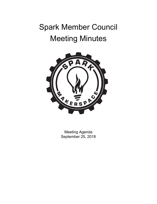# Spark Member Council Meeting Minutes



Meeting Agenda September 25, 2018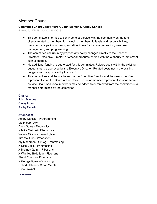# Member Council

# **Committee Chair: Casey Moran, John Scimone, Ashby Carlisle**

Formed 3/21/2018, Updated 5/2/2018

- This committee is formed to continue to strategize with the community on matters directly related to membership, including membership levels and responsibilities, member participation in the organization, ideas for income generation, volunteer management, and programming.
- The committee chair(s) may propose any policy changes directly to the Board of Directors, Executive Director, or other appropriate parties with the authority to implement such a change.
- No additional funding is authorized for this committee. Related costs within the existing budget must be approved by the Executive Director. Related costs not in the existing budget must be approved by the board.
- This committee shall be co-chaired by the Executive Director and the senior member representative on the Board of Directors. The junior member representative shall serve as Vice Chair. Additional members may be added to or removed from the committee in a manner determined by the committee.

## **Chairs:**

John Scimone Casey Moran Ashby Carlisle

# **Attendees:**

Ashby Carlisle - Programming Vic Filepp - A/V Drew Gates - Electronics X Mike Molinari - Electronics Valerie Gilson - Stained glass Tim McGuire - Woodshop Aly Maderson-Quinlog - Printmaking X Nike Desis - Printmaking X Melinda Quinn - Fiber arts X Winifred Bellefleur - Fiber arts Sherri Condon - Fiber arts X George Ryan - Coworking Robert Hatcher - Small Metals Drew Bicknell

**X = not present**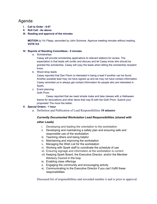# Agenda

- **I. Call to Order - 6:07**
- **II. Roll Call - As above**
- **III. Reading and approval of the minutes**

**MOTION** by Vic Filepp, seconded by John Scimone. Approve meeting minutes without reading. **VOTE 9-0**

### **IV. Reports of Standing Committees - 5 minutes**

a. Scholarships

Casey will provide scholarship applications to relevant stations for review. The expectation is that leads will confer and discuss and let Casey know who should be granted the scholarship. Casey will copy the leads when letting the scholarship recipient know.

b. Wood shop leads

Casey reported that Dan Flavin is interested in being a lead if another can be found. Another possible lead may not have signed up and we may not have contact information. Casey reminded us to always get contact information for people who are interested in Spark.

c. Event planning

Goth Prom

Casey reported that we need simple make and take classes with a Halloween theme for decorations and other items that may fit with the Goth Prom. Submit your proposals! The more the better.

### **V. Special Orders - 1 hour**

a. Definition and Publication of Lead Responsibilities **10 minutes**

# *Currently Documented Workstation Lead Responsibilities (shared with*

### *other Leads)*

- i. Developing and leading the orientation to the workstation
- ii. Developing and maintaining a safety plan and ensuring safe and responsible use of the workstation
- iii. Teaching others and being helpful
- iv. Maintaining and improving the workstation
- v. Managing the Wish List for the workstation
- vi. Working with Spark staff to coordinate the schedule of use
- vii. Ensuring signage and information at the workstation is current
- viii. Keeping Spark Board, the Executive Director, and/or the Member Advisory Council in the loop
- ix. Enabling class offerings
- x. Engaging the community and encouraging activity
- xi. Communicating to the Executive Director if you can't fulfill these responsibilities

Discussed list of responsibilities and reworded number ii and ix prior to approval.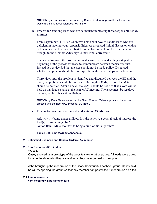**MOTION** by John Scimone, seconded by Sherri Condon. Approve the list of shared workstation lead responsibilities. **VOTE 9-0**

b. Process for handling leads who are delinquent in meeting these responsibilities **25 minutes**

From September 11, "Discussion was held about how to handle leads who are deficient in meeting your responsibilities. As discussed: Initial discussion with a deficient lead will be handled first from the Executive Director. Then it would be brought to the Member Advisory Council if not corrected."

The leads discussed the process outlined above. Discussed adding a step at the beginning of the process for leads to communicate between themselves first. Instead, it was decided that the step should not be made policy. Discussed whether the process should be more specific with specific steps and a timeline.

Thirty days after the problem is identified and discussed between the ED and the punk, the problem should be corrected. During this 30 day period, the MAC should be notified. After 60 days, the MAC should be notified that a vote will be held on that lead's status at the next MAC meeting. The issue must be resolved one way or the other within 90 days.

**MOTION** by Drew Gates, seconded by Sherri Condon. Table approval of the above process until the next MAC meeting. **VOTE 9-0**

c. Process for handling under-used workstations **25 minutes**

Ask why it's being under-utilized. Is it the activity, a general lack of interest, the lead(s), or something else? Action Item - Mike Molinari to bring a draft of his "algorithm"

#### **Tabled until next MAC by consensus.**

#### **VI. Unfinished Business and General Orders - 15 minutes**

#### **VII. New Business - 30 minutes**

#### **Website**

Casey showed us a prototype of the website's workstation pages. All leads were asked for a quote about who they are and what they do to go next to their photo.

John brought up the moderation of the Spark Community Facebook group. Casey said he will try opening the group so that any member can post without moderation as a trial.

#### **VIII.Announcements**

**Next meeting will be October 23rd**